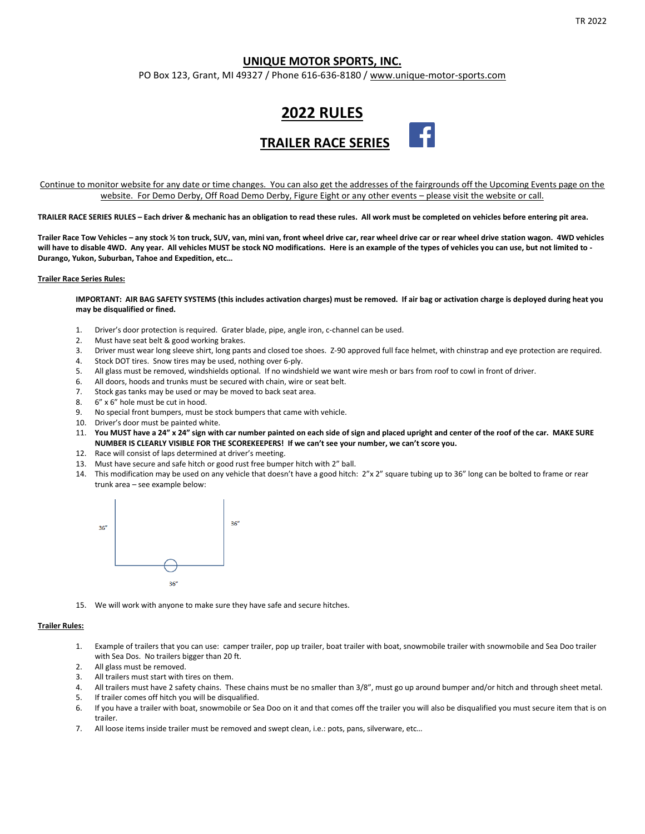# **UNIQUE MOTOR SPORTS, INC.**

PO Box 123, Grant, MI 49327 / Phone 616-636-8180 [/ www.unique-motor-sports.com](http://www.unique-motor-sports.com/)



Continue to monitor website for any date or time changes. You can also get the addresses of the fairgrounds off the Upcoming Events page on the website. For Demo Derby, Off Road Demo Derby, Figure Eight or any other events – please visit the website or call.

**TRAILER RACE SERIES RULES – Each driver & mechanic has an obligation to read these rules. All work must be completed on vehicles before entering pit area.**

**Trailer Race Tow Vehicles – any stock ½ ton truck, SUV, van, mini van, front wheel drive car, rear wheel drive car or rear wheel drive station wagon. 4WD vehicles will have to disable 4WD. Any year. All vehicles MUST be stock NO modifications. Here is an example of the types of vehicles you can use, but not limited to - Durango, Yukon, Suburban, Tahoe and Expedition, etc…**

### **Trailer Race Series Rules:**

**IMPORTANT: AIR BAG SAFETY SYSTEMS (this includes activation charges) must be removed. If air bag or activation charge is deployed during heat you may be disqualified or fined.**

- 1. Driver's door protection is required. Grater blade, pipe, angle iron, c-channel can be used.
- 2. Must have seat belt & good working brakes.
- 3. Driver must wear long sleeve shirt, long pants and closed toe shoes. Z-90 approved full face helmet, with chinstrap and eye protection are required.
- 4. Stock DOT tires. Snow tires may be used, nothing over 6-ply.
- 5. All glass must be removed, windshields optional. If no windshield we want wire mesh or bars from roof to cowl in front of driver.
- 6. All doors, hoods and trunks must be secured with chain, wire or seat belt.
- 7. Stock gas tanks may be used or may be moved to back seat area.
- 8. 6" x 6" hole must be cut in hood.
- 9. No special front bumpers, must be stock bumpers that came with vehicle.
- 10. Driver's door must be painted white.
- 11. **You MUST have a 24" x 24" sign with car number painted on each side of sign and placed upright and center of the roof of the car. MAKE SURE NUMBER IS CLEARLY VISIBLE FOR THE SCOREKEEPERS! If we can't see your number, we can't score you.**
- 12. Race will consist of laps determined at driver's meeting.
- 13. Must have secure and safe hitch or good rust free bumper hitch with 2" ball.
- 14. This modification may be used on any vehicle that doesn't have a good hitch: 2"x 2" square tubing up to 36" long can be bolted to frame or rear trunk area – see example below:



15. We will work with anyone to make sure they have safe and secure hitches.

### **Trailer Rules:**

- 1. Example of trailers that you can use: camper trailer, pop up trailer, boat trailer with boat, snowmobile trailer with snowmobile and Sea Doo trailer with Sea Dos. No trailers bigger than 20 ft.
- 2. All glass must be removed.
- 3. All trailers must start with tires on them.
- 4. All trailers must have 2 safety chains. These chains must be no smaller than 3/8", must go up around bumper and/or hitch and through sheet metal.
- 5. If trailer comes off hitch you will be disqualified.
- 6. If you have a trailer with boat, snowmobile or Sea Doo on it and that comes off the trailer you will also be disqualified you must secure item that is on trailer.
- 7. All loose items inside trailer must be removed and swept clean, i.e.: pots, pans, silverware, etc…